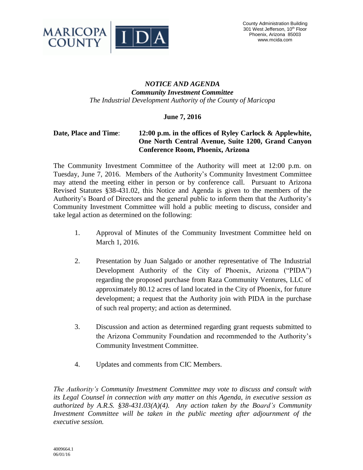

## *NOTICE AND AGENDA Community Investment Committee The Industrial Development Authority of the County of Maricopa*

## **June 7, 2016**

## **Date, Place and Time**: **12:00 p.m. in the offices of Ryley Carlock & Applewhite, One North Central Avenue, Suite 1200, Grand Canyon Conference Room, Phoenix, Arizona**

The Community Investment Committee of the Authority will meet at 12:00 p.m. on Tuesday, June 7, 2016. Members of the Authority's Community Investment Committee may attend the meeting either in person or by conference call. Pursuant to Arizona Revised Statutes §38-431.02, this Notice and Agenda is given to the members of the Authority's Board of Directors and the general public to inform them that the Authority's Community Investment Committee will hold a public meeting to discuss, consider and take legal action as determined on the following:

- 1. Approval of Minutes of the Community Investment Committee held on March 1, 2016.
- 2. Presentation by Juan Salgado or another representative of The Industrial Development Authority of the City of Phoenix, Arizona ("PIDA") regarding the proposed purchase from Raza Community Ventures, LLC of approximately 80.12 acres of land located in the City of Phoenix, for future development; a request that the Authority join with PIDA in the purchase of such real property; and action as determined.
- 3. Discussion and action as determined regarding grant requests submitted to the Arizona Community Foundation and recommended to the Authority's Community Investment Committee.
- 4. Updates and comments from CIC Members.

*The Authority's Community Investment Committee may vote to discuss and consult with its Legal Counsel in connection with any matter on this Agenda, in executive session as authorized by A.R.S. §38-431.03(A)(4). Any action taken by the Board's Community Investment Committee will be taken in the public meeting after adjournment of the executive session.*